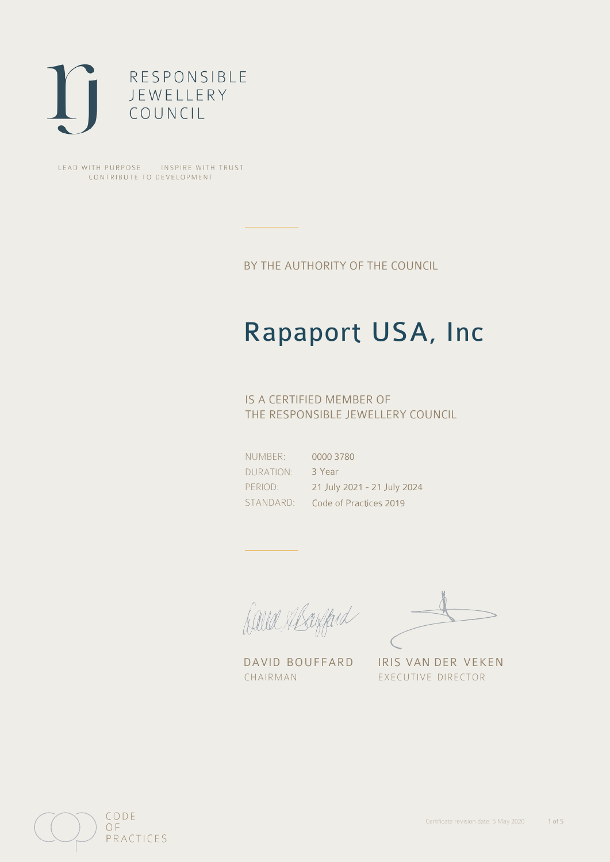

LEAD WITH PURPOSE . INSPIRE WITH TRUST CONTRIBUTE TO DEVELOPMENT

BY THE AUTHORITY OF THE COUNCIL

## Rapaport USA, Inc

## IS A CERTIFIED MEMBER OF THE RESPONSIBLE JEWELLERY COUNCIL

NUMBER: DURATION: PERIOD: STANDARD:

0000 3780 3 Year 21 July 2021 - 21 July 2024 Code of Practices 2019

Caux Margaret

DAVID BOUFFARD IRIS VAN DER VEKEN CHAIRMAN EXECUTIVE DIRECTOR

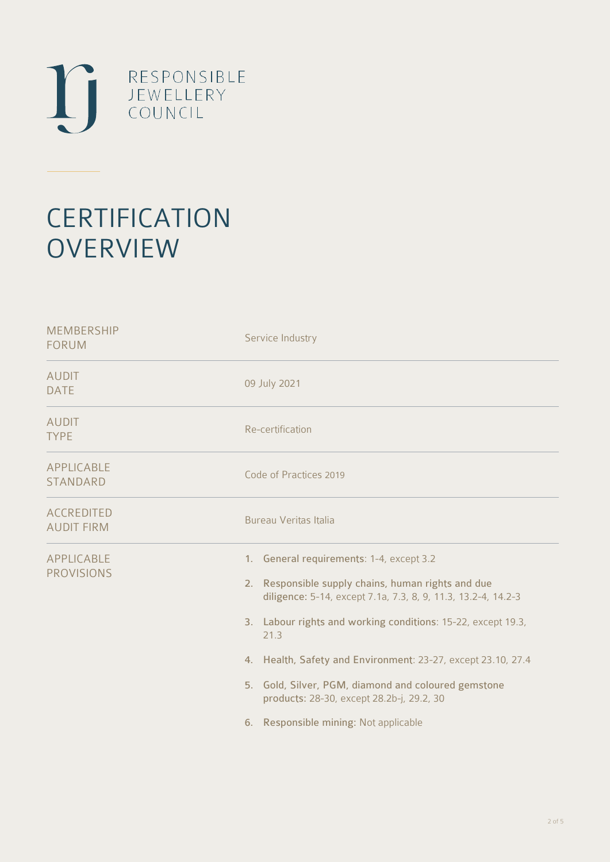

# **CERTIFICATION OVERVIEW**

| <b>MEMBERSHIP</b><br><b>FORUM</b>                   | Service Industry                                                                                                                                                                                                                                                                                                                                                                                                                       |
|-----------------------------------------------------|----------------------------------------------------------------------------------------------------------------------------------------------------------------------------------------------------------------------------------------------------------------------------------------------------------------------------------------------------------------------------------------------------------------------------------------|
| <b>AUDIT</b><br><b>DATE</b>                         | 09 July 2021                                                                                                                                                                                                                                                                                                                                                                                                                           |
| <b>AUDIT</b><br><b>TYPE</b>                         | Re-certification                                                                                                                                                                                                                                                                                                                                                                                                                       |
| APPLICABLE<br><b>STANDARD</b>                       | Code of Practices 2019                                                                                                                                                                                                                                                                                                                                                                                                                 |
| <b>ACCREDITED</b><br><b>AUDIT FIRM</b>              | Bureau Veritas Italia                                                                                                                                                                                                                                                                                                                                                                                                                  |
| APPLICABLE<br><b>PROVISIONS</b><br>2.<br>21.3<br>6. | 1. General requirements: 1-4, except 3.2<br>Responsible supply chains, human rights and due<br>diligence: 5-14, except 7.1a, 7.3, 8, 9, 11.3, 13.2-4, 14.2-3<br>3. Labour rights and working conditions: 15-22, except 19.3,<br>4. Health, Safety and Environment: 23-27, except 23.10, 27.4<br>5. Gold, Silver, PGM, diamond and coloured gemstone<br>products: 28-30, except 28.2b-j, 29.2, 30<br>Responsible mining: Not applicable |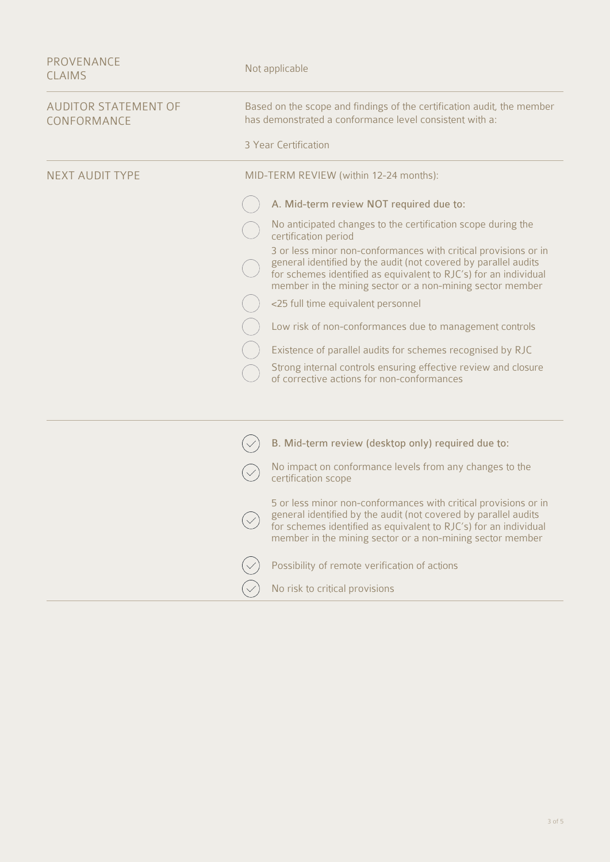| <b>PROVENANCE</b><br><b>CLAIMS</b>         | Not applicable                                                                                                                                                                                                                                                      |
|--------------------------------------------|---------------------------------------------------------------------------------------------------------------------------------------------------------------------------------------------------------------------------------------------------------------------|
| <b>AUDITOR STATEMENT OF</b><br>CONFORMANCE | Based on the scope and findings of the certification audit, the member<br>has demonstrated a conformance level consistent with a:                                                                                                                                   |
|                                            | 3 Year Certification                                                                                                                                                                                                                                                |
| <b>NEXT AUDIT TYPE</b>                     | MID-TERM REVIEW (within 12-24 months):                                                                                                                                                                                                                              |
|                                            | A. Mid-term review NOT required due to:                                                                                                                                                                                                                             |
|                                            | No anticipated changes to the certification scope during the<br>certification period                                                                                                                                                                                |
|                                            | 3 or less minor non-conformances with critical provisions or in<br>general identified by the audit (not covered by parallel audits<br>for schemes identified as equivalent to RJC's) for an individual<br>member in the mining sector or a non-mining sector member |
|                                            | <25 full time equivalent personnel                                                                                                                                                                                                                                  |
|                                            | Low risk of non-conformances due to management controls                                                                                                                                                                                                             |
|                                            | Existence of parallel audits for schemes recognised by RJC                                                                                                                                                                                                          |
|                                            | Strong internal controls ensuring effective review and closure<br>of corrective actions for non-conformances                                                                                                                                                        |
|                                            |                                                                                                                                                                                                                                                                     |
|                                            | B. Mid-term review (desktop only) required due to:                                                                                                                                                                                                                  |
|                                            | No impact on conformance levels from any changes to the<br>certification scope                                                                                                                                                                                      |
|                                            | 5 or less minor non-conformances with critical provisions or in<br>general identified by the audit (not covered by parallel audits<br>for schemes identified as equivalent to RJC's) for an individual<br>member in the mining sector or a non-mining sector member |
|                                            | Possibility of remote verification of actions                                                                                                                                                                                                                       |
|                                            | No risk to critical provisions                                                                                                                                                                                                                                      |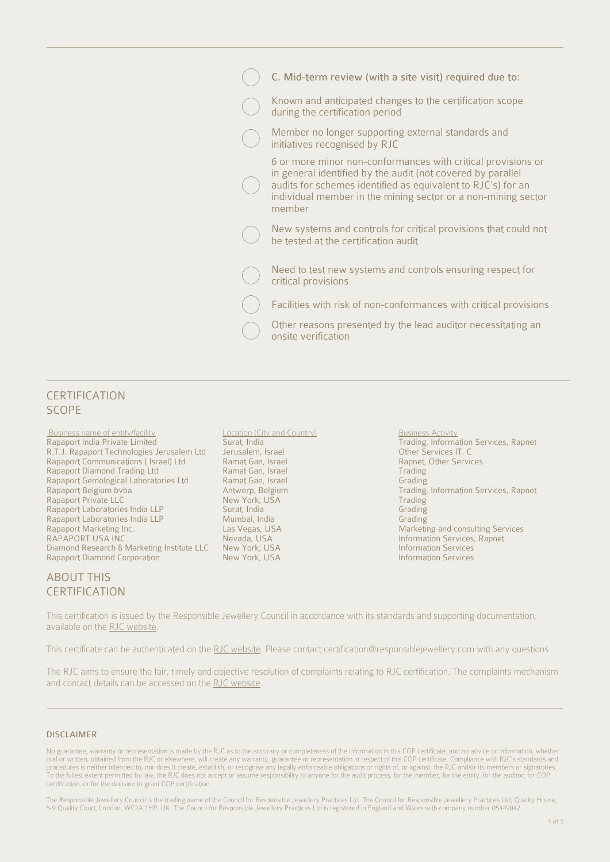| C. Mid-term review (with a site visit) required due to:                                                                                                                                                                                                                |
|------------------------------------------------------------------------------------------------------------------------------------------------------------------------------------------------------------------------------------------------------------------------|
| Known and anticipated changes to the certification scope<br>during the certification period                                                                                                                                                                            |
| Member no longer supporting external standards and<br>initiatives recognised by RJC                                                                                                                                                                                    |
| 6 or more minor non-conformances with critical provisions or<br>in general identified by the audit (not covered by parallel<br>audits for schemes identified as equivalent to RJC's) for an<br>individual member in the mining sector or a non-mining sector<br>member |
| New systems and controls for critical provisions that could not<br>be tested at the certification audit                                                                                                                                                                |
| Need to test new systems and controls ensuring respect for<br>critical provisions                                                                                                                                                                                      |
| Facilities with risk of non-conformances with critical provisions                                                                                                                                                                                                      |
| Other reasons presented by the lead auditor necessitating an<br>onsite verification                                                                                                                                                                                    |

#### CERTIFICATION SCOPE

Business name of entity/facility **Location (City and Country)** Business Activity Business Activity Rapaport India Private Limited Surat, India Surat, India **Business Activity** R.T.J. Rapaport Technologies Jerusalem Ltd Jerusalem, Israel<br>Rapaport Communications (Israel) Ltd Ramat Gan, Israel Rapaport Communications ( Israel) Ltd Ramat Gan, Israel Rapnet, Other Services<br>Rapaport Diamond Trading Ltd Ramat Gan, Israel Rapaport Diamond Trading Rapaport Diamond Trading Ltd **Ramat Gan, Israel Communist Communist Communist Communist Communist Communist Communist Communist Communist Communist Communist Communist Communist Communist Communist Communist Communist Comm** Rapaport Gemological Laboratories Ltd<br>Rapaport Belgium bvba Rapaport Private LLC<br>
Rapaport Laboratories India LLP<br>
Surat, India New York, USA Trading Crading Rapaport Laboratories India LLP Surat, India Surat, India Surat, India Grading Surat, India Grading Surat, India Grading Surat, India Grading Surat, India Grading Surat, India Surat, India Grading Surat, India Grading Sura Rapaport Laboratories India LLP<br>Rapaport Marketing Inc. Rapaport Marketing Inc. Las Vegas, USA Marketing and consulting Services Diamond Research & Marketing Institute LLC New York, USA Information Services<br>Rapaport Diamond Corporation New York, USA Information Services Rapaport Diamond Corporation

### ABOUT THIS CERTIFICATION

Eurat, India **Private Limited Surat, India Private Limited Surat, Information Services, Rapnet**<br> **Private Limited Surat, India Private Services IT. C** Antwerp, Belgium bvba Belgium bvba Brading, Information Services, Rapnet<br> Trading Trading Information Services, Rapnet

This certification is issued by the Responsible Jewellery Council in accordance with its standards and supporting documentation, available on the [RJC website.](https://www.responsiblejewellery.com/)

This certificate can be authenticated on the [RJC website.](https://www.responsiblejewellery.com/) Please contact [certification@responsiblejewellery.com](mailto:certification@responsiblejewellery.com) with any questions.

The RJC aims to ensure the fair, timely and objective resolution of complaints relating to RJC certification. The complaints mechanism and contact details can be accessed on the [RJC website](https://www.responsiblejewellery.com/).

#### DISCLAIMER

No guarantee, warranty or representation is made by the RJC as to the accuracy or completeness of the information in this COP certificate, and no advice or information, whether<br>oral or written, obtained from the RJC or els To the fullest extent permitted by law, the RJC does not accept or assume responsibility to anyone for the audit process, for the member, for the entity, for the auditor, for COP certification, or for the decision to grant COP certification.

The Responsible Jewellery Council is the trading name of the Council for Responsible Jewellery Practices Ltd. The Council for Responsible Jewellery Practices Ltd, Quality House,<br>5-9 Quality Court, London, WC2A 1HP, UK. The